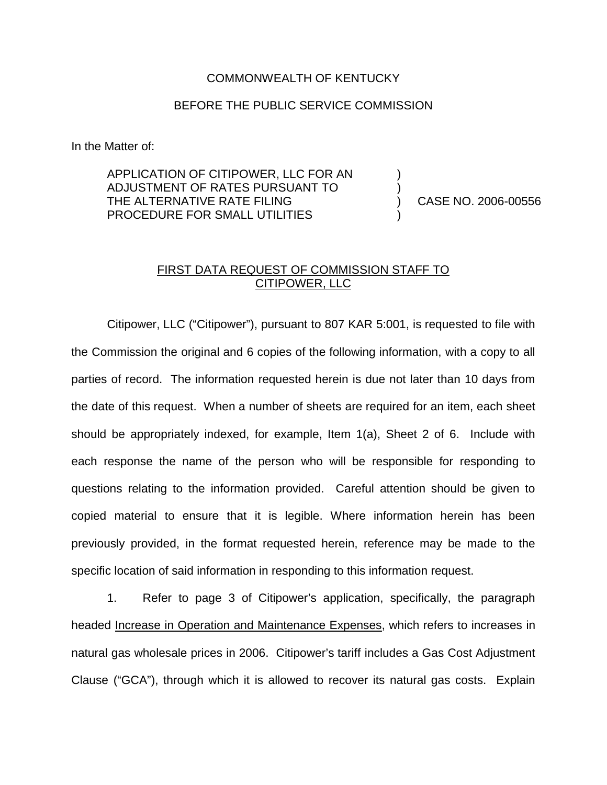## COMMONWEALTH OF KENTUCKY

## BEFORE THE PUBLIC SERVICE COMMISSION

In the Matter of:

APPLICATION OF CITIPOWER, LLC FOR AN ADJUSTMENT OF RATES PURSUANT TO THE ALTERNATIVE RATE FILING PROCEDURE FOR SMALL UTILITIES

) CASE NO. 2006-00556

) )

)

## FIRST DATA REQUEST OF COMMISSION STAFF TO CITIPOWER, LLC

Citipower, LLC ("Citipower"), pursuant to 807 KAR 5:001, is requested to file with the Commission the original and 6 copies of the following information, with a copy to all parties of record. The information requested herein is due not later than 10 days from the date of this request. When a number of sheets are required for an item, each sheet should be appropriately indexed, for example, Item 1(a), Sheet 2 of 6. Include with each response the name of the person who will be responsible for responding to questions relating to the information provided. Careful attention should be given to copied material to ensure that it is legible. Where information herein has been previously provided, in the format requested herein, reference may be made to the specific location of said information in responding to this information request.

1. Refer to page 3 of Citipower's application, specifically, the paragraph headed Increase in Operation and Maintenance Expenses, which refers to increases in natural gas wholesale prices in 2006. Citipower's tariff includes a Gas Cost Adjustment Clause ("GCA"), through which it is allowed to recover its natural gas costs. Explain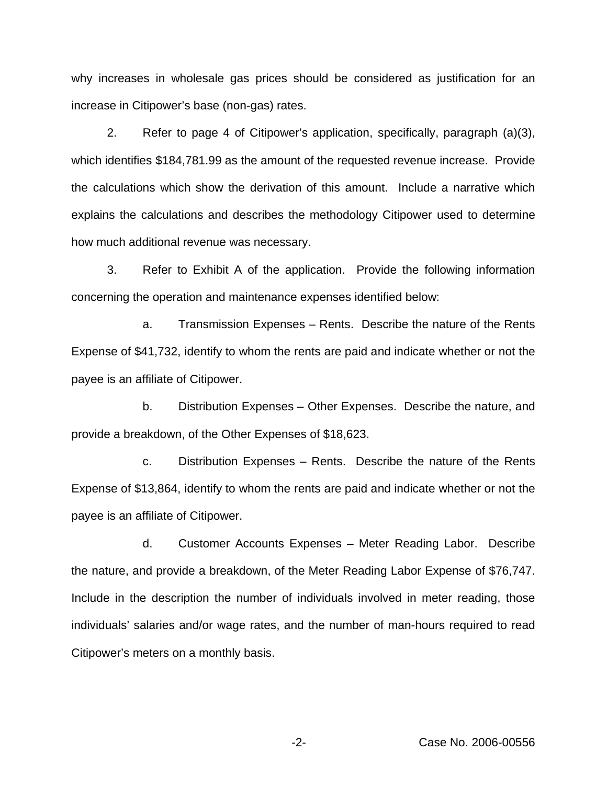why increases in wholesale gas prices should be considered as justification for an increase in Citipower's base (non-gas) rates.

2. Refer to page 4 of Citipower's application, specifically, paragraph (a)(3), which identifies \$184,781.99 as the amount of the requested revenue increase. Provide the calculations which show the derivation of this amount. Include a narrative which explains the calculations and describes the methodology Citipower used to determine how much additional revenue was necessary.

3. Refer to Exhibit A of the application. Provide the following information concerning the operation and maintenance expenses identified below:

a. Transmission Expenses – Rents. Describe the nature of the Rents Expense of \$41,732, identify to whom the rents are paid and indicate whether or not the payee is an affiliate of Citipower.

b. Distribution Expenses – Other Expenses. Describe the nature, and provide a breakdown, of the Other Expenses of \$18,623.

c. Distribution Expenses – Rents. Describe the nature of the Rents Expense of \$13,864, identify to whom the rents are paid and indicate whether or not the payee is an affiliate of Citipower.

d. Customer Accounts Expenses – Meter Reading Labor. Describe the nature, and provide a breakdown, of the Meter Reading Labor Expense of \$76,747. Include in the description the number of individuals involved in meter reading, those individuals' salaries and/or wage rates, and the number of man-hours required to read Citipower's meters on a monthly basis.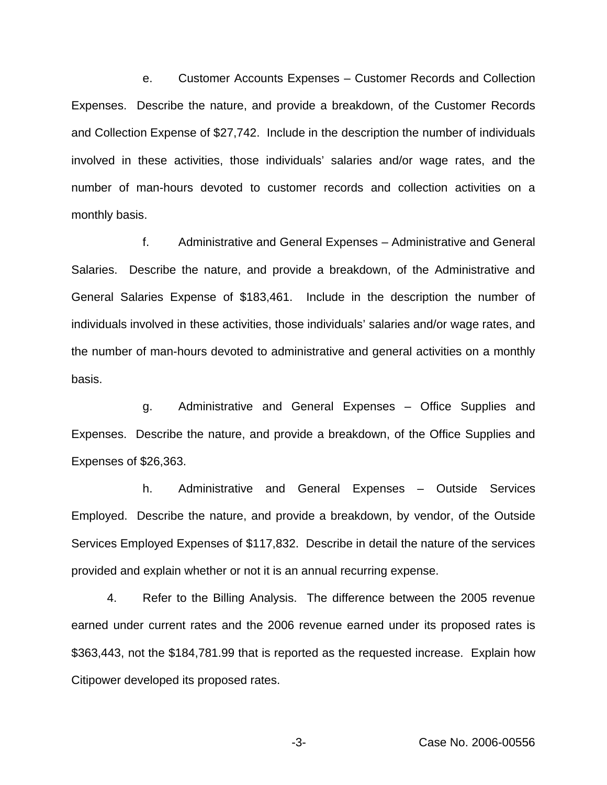e. Customer Accounts Expenses – Customer Records and Collection Expenses. Describe the nature, and provide a breakdown, of the Customer Records and Collection Expense of \$27,742. Include in the description the number of individuals involved in these activities, those individuals' salaries and/or wage rates, and the number of man-hours devoted to customer records and collection activities on a monthly basis.

f. Administrative and General Expenses – Administrative and General Salaries. Describe the nature, and provide a breakdown, of the Administrative and General Salaries Expense of \$183,461. Include in the description the number of individuals involved in these activities, those individuals' salaries and/or wage rates, and the number of man-hours devoted to administrative and general activities on a monthly basis.

g. Administrative and General Expenses – Office Supplies and Expenses. Describe the nature, and provide a breakdown, of the Office Supplies and Expenses of \$26,363.

h. Administrative and General Expenses – Outside Services Employed. Describe the nature, and provide a breakdown, by vendor, of the Outside Services Employed Expenses of \$117,832. Describe in detail the nature of the services provided and explain whether or not it is an annual recurring expense.

4. Refer to the Billing Analysis. The difference between the 2005 revenue earned under current rates and the 2006 revenue earned under its proposed rates is \$363,443, not the \$184,781.99 that is reported as the requested increase. Explain how Citipower developed its proposed rates.

-3- Case No. 2006-00556